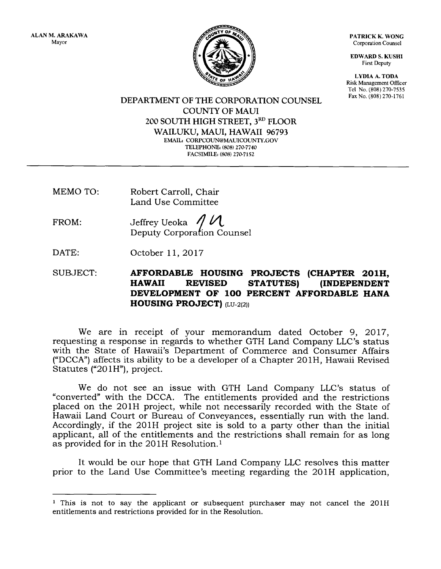PATRICK K. WONG Corporation Counsel

EDWARD S. KUSHI First Deputy

LYDIA A. TODA Risk Management Oflicer Tel No. (808) 270-7535<br>Fax No. (808) 270-1761

DEPARTMENT OF THE CORPORATION COUNSEL COUNTY OF MAUI 200 SOUTH HIGH STREET, 3RD FLOOR WAILUKU, MAUI, HAWAII 96793 EMAIL: CORPCOUN@MAUICOUNTY.GOV TELEPHONE: (808) 270-7740 FACSIMILE: (808) 270-7152

- MEMO TO: Robert Carroll, Chair Land Use Committee
- FROM: Jeffrey Ueoka  $\frac{1}{4}$ Deputy Corporation Counsel
- DATE: October ll,2Ol7

SUBJECT: AFFORDABLE HOUSING PROJECTS (CHAPTER 201H,<br>HAWAII REVISED STATUTES) (INDEPENDENT DEVELOPMENT OF 1OO PERCENT AFFORDABLE HANA HOUSING PROJECT)  $L\text{U-2(2l)}$ 

We are in receipt of your memorandum dated October 9, 2OI7, requesting a response in regards to whether GTH Land Company LLC's status with the State of Hawaii's Department of Commerce and Consumer Affairs ('DCCA") affects its ability to be a developer of a Chapter 20lH, Hawaii Revised Statutes ("201H"), project.

We do not see an issue with GTH Land Company LLC's status of "converted" with the DCCA. The entitlements provided and the restrictions placed on the 2OlH project, while not necessarily recorded with the State of Hawaii Land Court or Bureau of Conveyances, essentially run with the land. Accordingly, if the 201H project site is sold to a party other than the initial applicant, all of the entitlements and the restrictions shall remain for as long as provided for in the 201H Resolution.<sup>1</sup>

It would be our hope that GTH Land Company LLC resolves this matter prior to the Land Use Committee's meeting regarding the 201H application,

 $^1$  This is not to say the applicant or subsequent purchaser may not cancel the  $201\mathrm{H}$ entitlements and restrictions provided for in the Resolution.